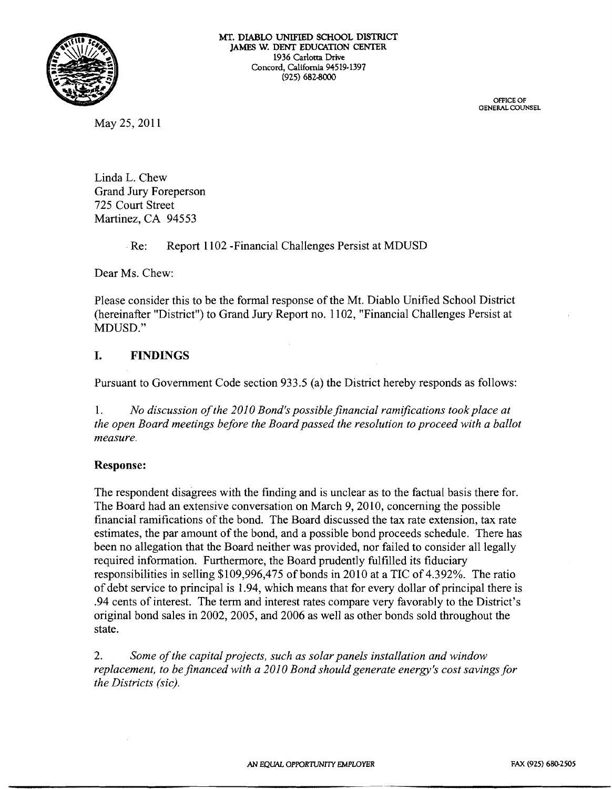

**MT. DIABLO UNIFIED SCHOOL DISTRICT JAMES W. DENT EDUCATION CENTER 1936 Carlotta Drive Concord, California 94519- 1397 (925) 6828000** 

> **OFFICE OF GENERAL COUNSEL**

May 25, 2011

Linda L. Chew Grand Jury Foreperson 725 Court Street Martinez, CA 94553

Re: Report 1102 - Financial Challenges Persist at MDUSD

Dear Ms. Chew:

Please consider this to be the formal response of the Mt. Diablo Unified School District (hereinafter "District") to Grand Jury Report no. 1 102, "Financial Challenges Persist at MDUSD."

# **I. FINDINGS**

Pursuant to Government Code section 933.5 (a) the District hereby responds as follows:

1. No discussion of the 2010 Bond's possible financial ramifications took place at *the open Board meetings before the Board passed the resolution to proceed with a ballot measure.* 

## **Response:**

The respondent disagrees with the finding and is unclear as to the factual basis there for. The Board had an extensive conversation on March 9, 2010, concerning the possible financial ramifications of the bond. The Board discussed the tax rate extension, tax rate estimates, the par amount of the bond, and a possible bond proceeds schedule. There has been no allegation that the Board neither was provided, nor failed to consider all legally required information. Furthermore, the Board prudently fulfilled its fiduciary responsibilities in selling \$109,996,475 of bonds in 2010 at a TIC of 4.392%. The ratio of debt service to principal is 1.94, which means that for every dollar of principal there is .94 cents of interest. The term and interest rates compare very favorably to the District's original bond sales in 2002,2005, and 2006 as well as other bonds sold throughout the state.

2. Some of the capital projects, such as solar panels installation and window *replacement, to be financed with a 2010 Bond should generate energy's cost savings for the Districts (sic).*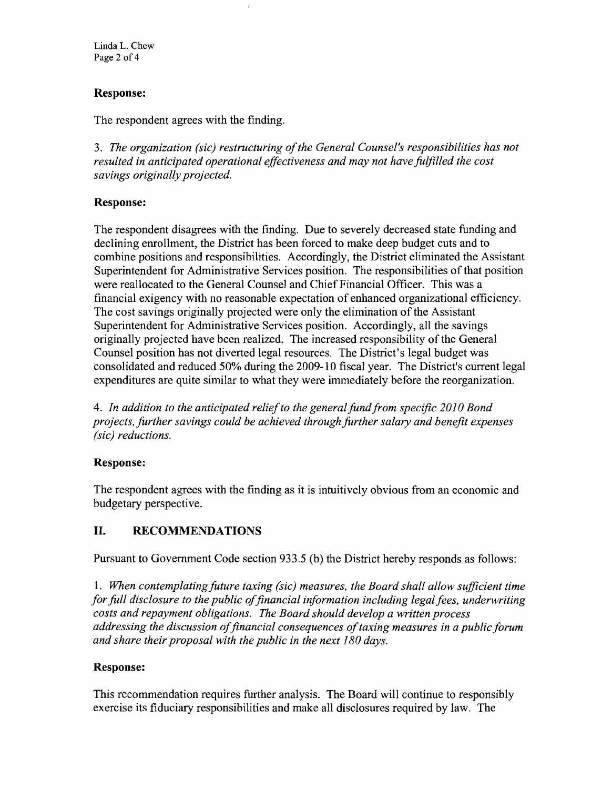Linda L. Chew Page 2 of 4

### **Response:**

The respondent agrees with the finding.

3. *The organization (sic) restructuring of the General Counsel's responsibilities has not resulted in anticipated operational effectiveness and may not have fuIfilled the cost savings originally projected.* 

### **Response:**

The respondent disagrees with the finding. Due to severely decreased state funding and declining enrollment, the District has been forced to make deep budget cuts and to combine positions and responsibilities. Accordingly, the District eliminated the Assistant Superintendent for Administrative Services position. The responsibilities of that position were reallocated to the General Counsel and Chief Financial Officer. This was a financial exigency with no reasonable expectation of enhanced organizational efficiency. The cost savings originally projected were only the elimination of the Assistant Superintendent for Administrative Services position. Accordingly, all the savings originally projected have been realized. The increased responsibility of the General Counsel position has not diverted legal resources. The District's legal budget was consolidated and reduced 50% during the 2009-10 fiscal year. The District's current legal expenditures are quite similar to what they were immediately before the reorganization.

4. *In addition to the anticipated relief to the general fund from speclfic 201 0 Bond projects, further savings could be achieved through further salary and benefit expenses (sic) reductions.* 

## **Response:**

The respondent agrees with the finding as it is intuitively obvious from an economic and budgetary perspective.

#### $II.$ **RECOMMENDATIONS**

Pursuant to Government Code section 933.5 (b) the District hereby responds as follows:

1. *When contemplating future taxing (sic) measures, the Board shall allow suflcient time for full disclosure to the public of financial information including legal fees, underwriting costs and repayment obligations. The Board should develop a written process addressing the discussion of financial consequences of taxing measures in a public forum and share their proposal with the public in the next 180 days.* 

## **Response:**

This recommendation requires further analysis. The Board will continue to responsibly exercise its fiduciary responsibilities and make all disclosures required by law. The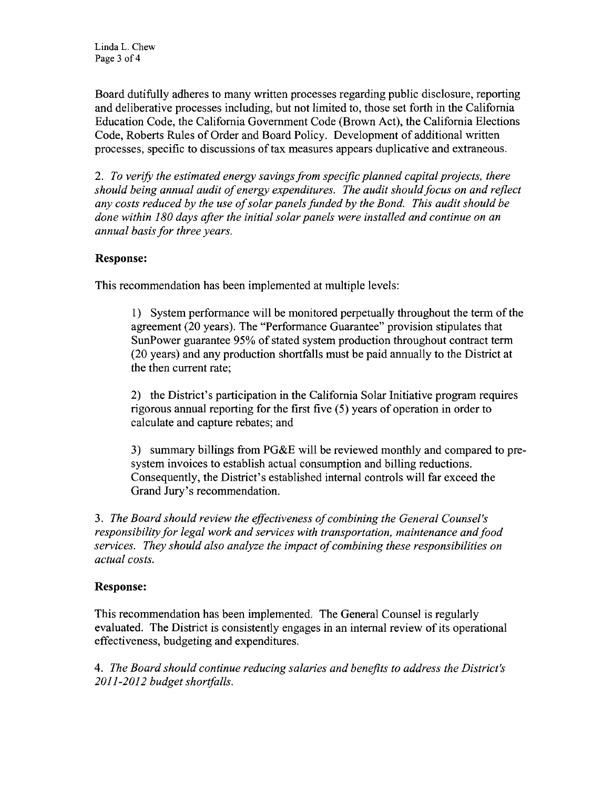Board dutihlly adheres to many written processes regarding public disclosure, reporting and deliberative processes including, but not limited to, those set forth in the California Education Code, the California Government Code (Brown Act), the California Elections Code, Roberts Rules of Order and Board Policy. Development of additional written processes, specific to discussions of tax measures appears duplicative and extraneous.

2. *To verzfi the estimated energy savings from speczjc planned capital projects, there should being annual audit of energy expenditures. The audit should focus on and reflect any costs reduced by the use of solar panels funded by the Bond. This audit should be done within 180 days after the initial solar panels were installed and continue on an annual basis for three years.* 

### **Response:**

This recommendation has been implemented at multiple levels:

1) System performance will be monitored perpetually throughout the term of the agreement (20 years). The "Performance Guarantee" provision stipulates that SunPower guarantee 95% of stated system production throughout contract term (20 years) and any production shortfalls must be paid annually to the District at the then current rate;

2) the District's participation in the California Solar Initiative program requires rigorous annual reporting for the first five (5) years of operation in order to calculate and capture rebates; and

3) summary billings from PG&E will be reviewed monthly and compared to presystem invoices to establish actual consumption and billing reductions. Consequently, the District's established internal controls will far exceed the Grand Jury's recommendation.

3. *The Board should review the effectiveness of combining the General Counsel's responsibility for legal work and services with transportation, maintenance and food services. They should also analyze the impact of combining these responsibilities on actual costs.* 

## **Response:**

This recommendation has been implemented. The General Counsel is regularly evaluated. The District is consistently engages in an internal review of its operational effectiveness, budgeting and expenditures.

*4. The Board should continue reducing salaries and benejts to address the District's 201 1-201 2 budget shortfalls.*